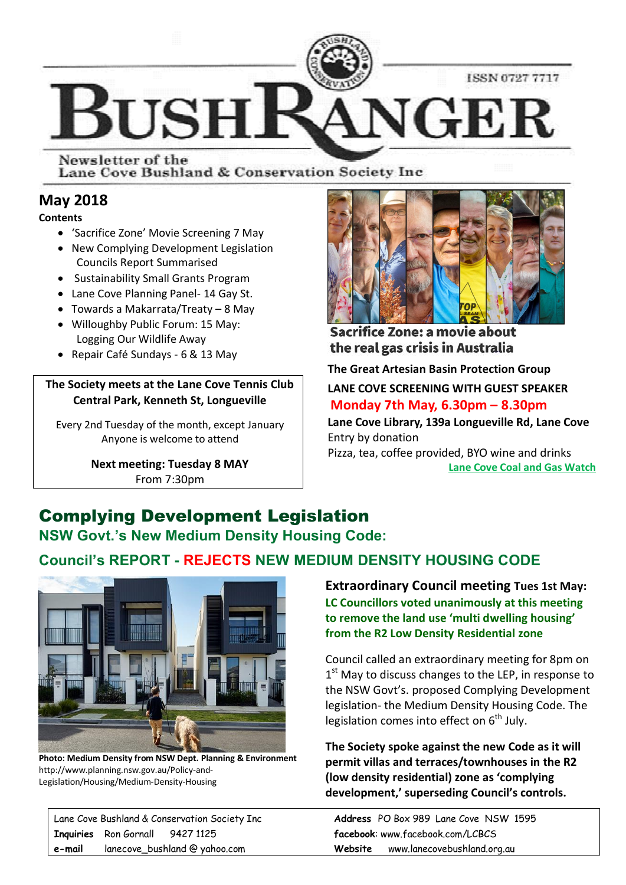

Newsletter of the Lane Cove Bushland & Conservation Society Inc

## **May 2018**

**Contents**

- · 'Sacrifice Zone' Movie Screening 7 May
- · New Complying Development Legislation Councils Report Summarised
- · Sustainability Small Grants Program
- · Lane Cove Planning Panel- 14 Gay St.
- · Towards a Makarrata/Treaty 8 May · Willoughby Public Forum: 15 May:
- Logging Our Wildlife Away
- · Repair Café Sundays 6 & 13 May

#### **The Society meets at the Lane Cove Tennis Club Central Park, Kenneth St, Longueville**

Every 2nd Tuesday of the month, except January Anyone is welcome to attend

> **Next meeting: Tuesday 8 MAY** From 7:30pm



Sacrifice Zone: a movie about the real gas crisis in Australia

**The Great Artesian Basin Protection Group**

**LANE COVE SCREENING WITH GUEST SPEAKER Monday 7th May, 6.30pm – 8.30pm** 

**Lane Cove Library, 139a Longueville Rd, Lane Cove** Entry by donation

Pizza, tea, coffee provided, BYO wine and drinks **Lane Cove Coal and Gas Watch**

# Complying Development Legislation

**NSW Govt.'s New Medium Density Housing Code:** 

## **Council's REPORT - REJECTS NEW MEDIUM DENSITY HOUSING CODE**



**Photo: Medium Density from NSW Dept. Planning & Environment** http://www.planning.nsw.gov.au/Policy-and-Legislation/Housing/Medium-Density-Housing

**Extraordinary Council meeting Tues 1st May: LC Councillors voted unanimously at this meeting to remove the land use 'multi dwelling housing' from the R2 Low Density Residential zone** 

Council called an extraordinary meeting for 8pm on  $1<sup>st</sup>$  May to discuss changes to the LEP, in response to the NSW Govt's. proposed Complying Development legislation- the Medium Density Housing Code. The legislation comes into effect on  $6<sup>th</sup>$  July.

**The Society spoke against the new Code as it will permit villas and terraces/townhouses in the R2 (low density residential) zone as 'complying development,' superseding Council's controls.**

Lane Cove Bushland & Conservation Society Inc **Address** PO Box 989 Lane Cove NSW 1595 **Inquiries** Ron Gornall 9427 1125 **facebook**: www.facebook.com/LCBCS **e-mail** lanecove\_bushland @ yahoo.com **Website** www.lanecovebushland.org.au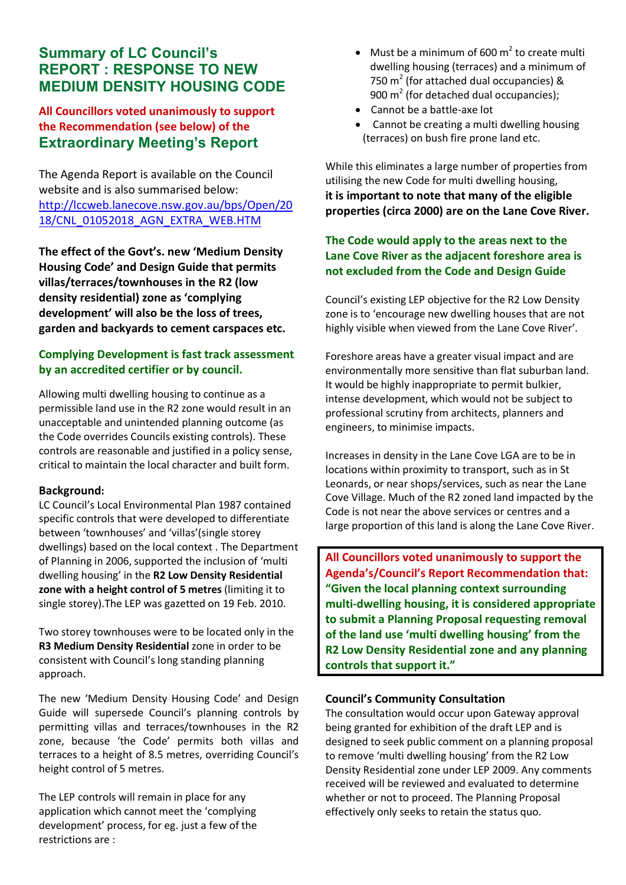## **Summary of LC Council's REPORT : RESPONSE TO NEW MEDIUM DENSITY HOUSING CODE**

#### **All Councillors voted unanimously to support the Recommendation (see below) of the Extraordinary Meeting's Report**

The Agenda Report is available on the Council website and is also summarised below: http://lccweb.lanecove.nsw.gov.au/bps/Open/20 18/CNL\_01052018\_AGN\_EXTRA\_WEB.HTM

**The effect of the Govt's. new 'Medium Density Housing Code' and Design Guide that permits villas/terraces/townhouses in the R2 (low density residential) zone as 'complying development' will also be the loss of trees, garden and backyards to cement carspaces etc.** 

#### **Complying Development is fast track assessment by an accredited certifier or by council.**

Allowing multi dwelling housing to continue as a permissible land use in the R2 zone would result in an unacceptable and unintended planning outcome (as the Code overrides Councils existing controls). These controls are reasonable and justified in a policy sense, critical to maintain the local character and built form.

#### **Background:**

LC Council's Local Environmental Plan 1987 contained specific controls that were developed to differentiate between 'townhouses' and 'villas'(single storey dwellings) based on the local context . The Department of Planning in 2006, supported the inclusion of 'multi dwelling housing' in the **R2 Low Density Residential zone with a height control of 5 metres** (limiting it to single storey).The LEP was gazetted on 19 Feb. 2010.

Two storey townhouses were to be located only in the **R3 Medium Density Residential** zone in order to be consistent with Council's long standing planning approach.

The new 'Medium Density Housing Code' and Design Guide will supersede Council's planning controls by permitting villas and terraces/townhouses in the R2 zone, because 'the Code' permits both villas and terraces to a height of 8.5 metres, overriding Council's height control of 5 metres.

The LEP controls will remain in place for any application which cannot meet the 'complying development' process, for eg. just a few of the restrictions are :

- Must be a minimum of 600  $m^2$  to create multi dwelling housing (terraces) and a minimum of 750  $m<sup>2</sup>$  (for attached dual occupancies) & 900  $m<sup>2</sup>$  (for detached dual occupancies);
- · Cannot be a battle-axe lot
- Cannot be creating a multi dwelling housing (terraces) on bush fire prone land etc.

While this eliminates a large number of properties from utilising the new Code for multi dwelling housing, **it is important to note that many of the eligible properties (circa 2000) are on the Lane Cove River.**

#### **The Code would apply to the areas next to the Lane Cove River as the adjacent foreshore area is not excluded from the Code and Design Guide**

Council's existing LEP objective for the R2 Low Density zone is to 'encourage new dwelling houses that are not highly visible when viewed from the Lane Cove River'.

Foreshore areas have a greater visual impact and are environmentally more sensitive than flat suburban land. It would be highly inappropriate to permit bulkier, intense development, which would not be subject to professional scrutiny from architects, planners and engineers, to minimise impacts.

Increases in density in the Lane Cove LGA are to be in locations within proximity to transport, such as in St Leonards, or near shops/services, such as near the Lane Cove Village. Much of the R2 zoned land impacted by the Code is not near the above services or centres and a large proportion of this land is along the Lane Cove River.

**All Councillors voted unanimously to support the Agenda's/Council's Report Recommendation that: "Given the local planning context surrounding multi-dwelling housing, it is considered appropriate to submit a Planning Proposal requesting removal of the land use 'multi dwelling housing' from the R2 Low Density Residential zone and any planning controls that support it."**

#### **Council's Community Consultation**

The consultation would occur upon Gateway approval being granted for exhibition of the draft LEP and is designed to seek public comment on a planning proposal to remove 'multi dwelling housing' from the R2 Low Density Residential zone under LEP 2009. Any comments received will be reviewed and evaluated to determine whether or not to proceed. The Planning Proposal effectively only seeks to retain the status quo.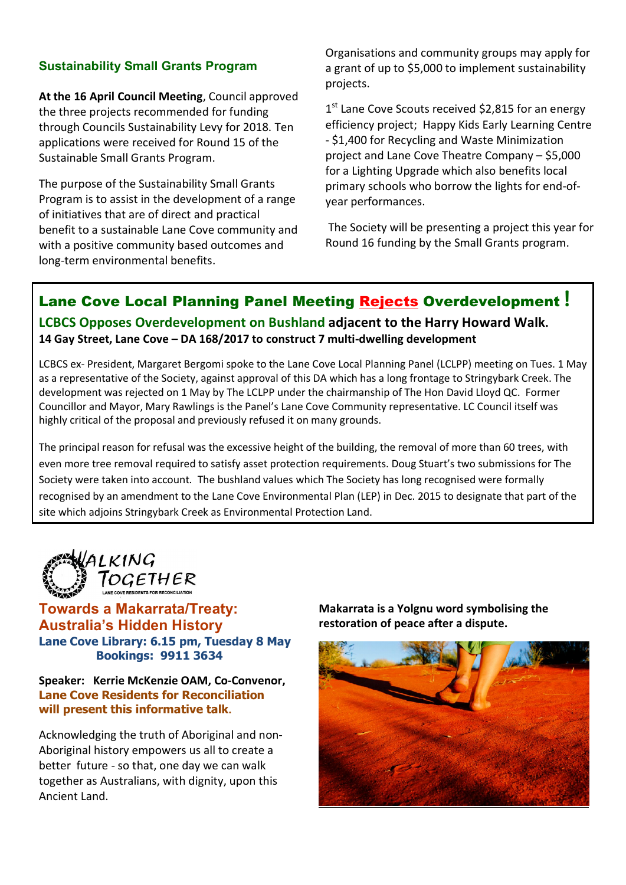### **Sustainability Small Grants Program**

**At the 16 April Council Meeting**, Council approved the three projects recommended for funding through Councils Sustainability Levy for 2018. Ten applications were received for Round 15 of the Sustainable Small Grants Program.

The purpose of the Sustainability Small Grants Program is to assist in the development of a range of initiatives that are of direct and practical benefit to a sustainable Lane Cove community and with a positive community based outcomes and long-term environmental benefits.

Organisations and community groups may apply for a grant of up to \$5,000 to implement sustainability projects.

1<sup>st</sup> Lane Cove Scouts received \$2,815 for an energy efficiency project; Happy Kids Early Learning Centre - \$1,400 for Recycling and Waste Minimization project and Lane Cove Theatre Company – \$5,000 for a Lighting Upgrade which also benefits local primary schools who borrow the lights for end-ofyear performances.

The Society will be presenting a project this year for Round 16 funding by the Small Grants program.

## Lane Cove Local Planning Panel Meeting Rejects Overdevelopment **! LCBCS Opposes Overdevelopment on Bushland adjacent to the Harry Howard Walk. 14 Gay Street, Lane Cove – DA 168/2017 to construct 7 multi-dwelling development**

LCBCS ex- President, Margaret Bergomi spoke to the Lane Cove Local Planning Panel (LCLPP) meeting on Tues. 1 May as a representative of the Society, against approval of this DA which has a long frontage to Stringybark Creek. The development was rejected on 1 May by The LCLPP under the chairmanship of The Hon David Lloyd QC. Former Councillor and Mayor, Mary Rawlings is the Panel's Lane Cove Community representative. LC Council itself was highly critical of the proposal and previously refused it on many grounds.

The principal reason for refusal was the excessive height of the building, the removal of more than 60 trees, with even more tree removal required to satisfy asset protection requirements. Doug Stuart's two submissions for The Society were taken into account. The bushland values which The Society has long recognised were formally recognised by an amendment to the Lane Cove Environmental Plan (LEP) in Dec. 2015 to designate that part of the site which adjoins Stringybark Creek as Environmental Protection Land.



**Towards a Makarrata/Treaty: Australia's Hidden History Lane Cove Library: 6.15 pm, Tuesday 8 May Bookings: 9911 3634**

**Speaker: Kerrie McKenzie OAM, Co-Convenor, Lane Cove Residents for Reconciliation will present this informative talk.**

Acknowledging the truth of Aboriginal and non-Aboriginal history empowers us all to create a better future - so that, one day we can walk together as Australians, with dignity, upon this Ancient Land.

**Makarrata is a Yolgnu word symbolising the restoration of peace after a dispute.**